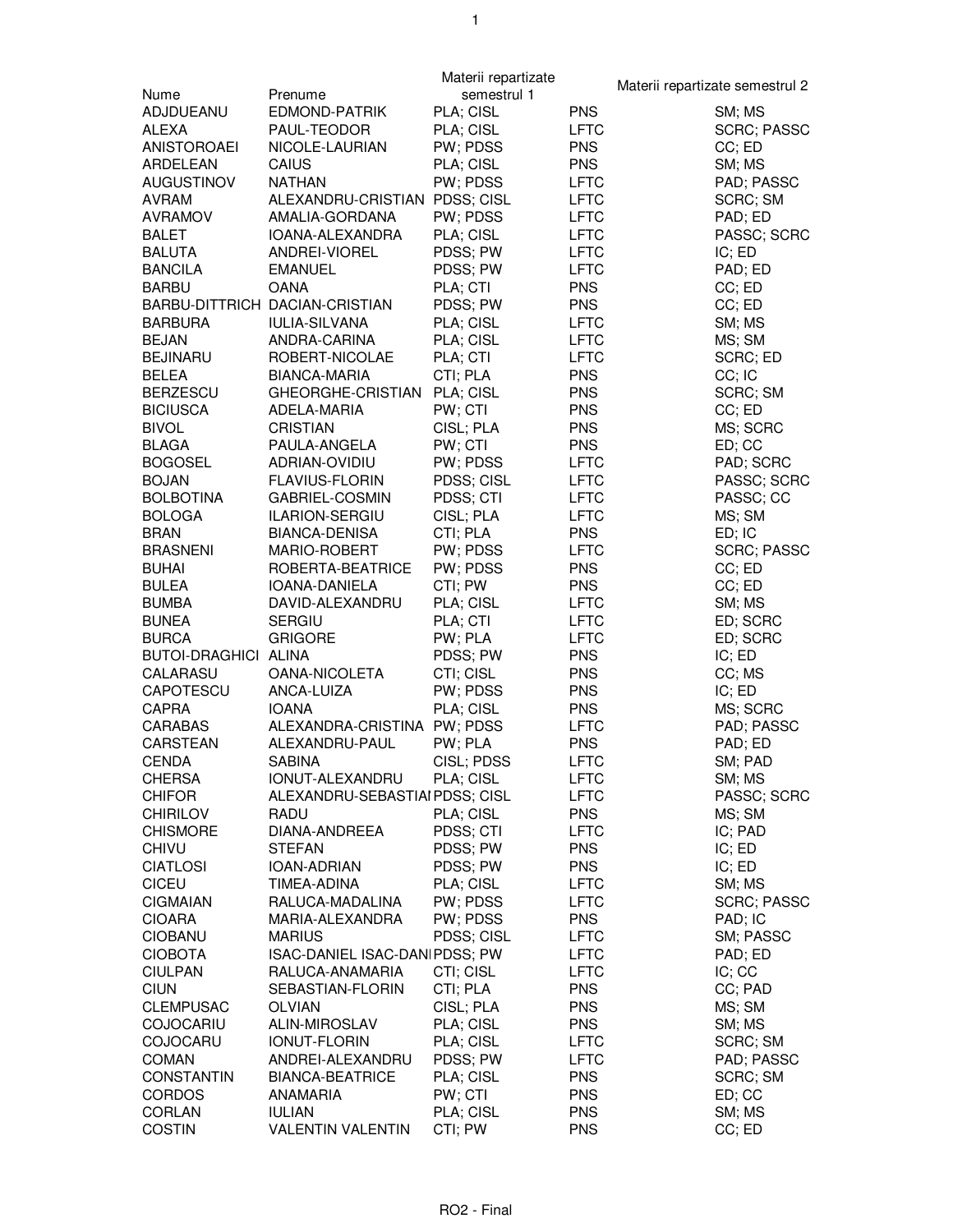|                             |                                | Materii repartizate |             | Materii repartizate semestrul 2 |
|-----------------------------|--------------------------------|---------------------|-------------|---------------------------------|
| Nume                        | Prenume                        | semestrul 1         |             |                                 |
| ADJDUEANU                   | EDMOND-PATRIK                  | PLA; CISL           | <b>PNS</b>  | SM; MS                          |
| ALEXA                       | PAUL-TEODOR                    | PLA; CISL           | <b>LFTC</b> | <b>SCRC; PASSC</b>              |
| ANISTOROAEI                 | NICOLE-LAURIAN                 | PW; PDSS            | <b>PNS</b>  | CC; ED                          |
| ARDELEAN                    | CAIUS                          | PLA; CISL           | <b>PNS</b>  | SM; MS                          |
| <b>AUGUSTINOV</b>           | <b>NATHAN</b>                  | PW; PDSS            | <b>LFTC</b> | PAD; PASSC                      |
| AVRAM                       | ALEXANDRU-CRISTIAN PDSS; CISL  |                     | LFTC        | SCRC; SM                        |
| <b>AVRAMOV</b>              | AMALIA-GORDANA                 | PW; PDSS            | LFTC        | PAD; ED                         |
| <b>BALET</b>                | IOANA-ALEXANDRA                | PLA; CISL           | <b>LFTC</b> | PASSC; SCRC                     |
| <b>BALUTA</b>               | ANDREI-VIOREL                  | PDSS; PW            | <b>LFTC</b> | IC; ED                          |
| <b>BANCILA</b>              | <b>EMANUEL</b>                 | PDSS; PW            | <b>LFTC</b> |                                 |
|                             |                                |                     |             | PAD; ED                         |
| <b>BARBU</b>                | <b>OANA</b>                    | PLA; CTI            | <b>PNS</b>  | CC; ED                          |
|                             | BARBU-DITTRICH DACIAN-CRISTIAN | PDSS; PW            | <b>PNS</b>  | CC; ED                          |
| <b>BARBURA</b>              | <b>IULIA-SILVANA</b>           | PLA; CISL           | <b>LFTC</b> | SM; MS                          |
| <b>BEJAN</b>                | ANDRA-CARINA                   | PLA; CISL           | LFTC        | MS; SM                          |
| <b>BEJINARU</b>             | ROBERT-NICOLAE                 | PLA; CTI            | LFTC        | SCRC; ED                        |
| <b>BELEA</b>                | <b>BIANCA-MARIA</b>            | CTI; PLA            | <b>PNS</b>  | CC; IC                          |
| <b>BERZESCU</b>             | GHEORGHE-CRISTIAN              | PLA; CISL           | <b>PNS</b>  | SCRC; SM                        |
| <b>BICIUSCA</b>             | ADELA-MARIA                    | PW; CTI             | <b>PNS</b>  | CC; ED                          |
| <b>BIVOL</b>                | <b>CRISTIAN</b>                | CISL; PLA           | <b>PNS</b>  | MS; SCRC                        |
| <b>BLAGA</b>                | PAULA-ANGELA                   | PW; CTI             | <b>PNS</b>  | ED; CC                          |
| <b>BOGOSEL</b>              | ADRIAN-OVIDIU                  | PW; PDSS            | <b>LFTC</b> | PAD; SCRC                       |
| <b>BOJAN</b>                | <b>FLAVIUS-FLORIN</b>          | PDSS; CISL          | LFTC        | PASSC; SCRC                     |
| <b>BOLBOTINA</b>            | GABRIEL-COSMIN                 | PDSS; CTI           | LFTC        | PASSC; CC                       |
| <b>BOLOGA</b>               | ILARION-SERGIU                 | CISL; PLA           | <b>LFTC</b> | MS; SM                          |
| <b>BRAN</b>                 | <b>BIANCA-DENISA</b>           | CTI; PLA            | <b>PNS</b>  | ED; IC                          |
| <b>BRASNENI</b>             | MARIO-ROBERT                   | PW; PDSS            | <b>LFTC</b> | <b>SCRC; PASSC</b>              |
| <b>BUHAI</b>                | ROBERTA-BEATRICE               | PW; PDSS            | <b>PNS</b>  | CC; ED                          |
| <b>BULEA</b>                | IOANA-DANIELA                  | CTI; PW             | <b>PNS</b>  | CC; ED                          |
| <b>BUMBA</b>                | DAVID-ALEXANDRU                | PLA; CISL           | <b>LFTC</b> | SM; MS                          |
| <b>BUNEA</b>                | <b>SERGIU</b>                  | PLA; CTI            |             |                                 |
|                             |                                |                     | LFTC        | ED; SCRC                        |
| <b>BURCA</b>                | <b>GRIGORE</b>                 | PW; PLA             | LFTC        | ED; SCRC                        |
| <b>BUTOI-DRAGHICI ALINA</b> |                                | PDSS; PW            | <b>PNS</b>  | IC; ED                          |
| CALARASU                    | OANA-NICOLETA                  | CTI; CISL           | <b>PNS</b>  | CC; MS                          |
| CAPOTESCU                   | ANCA-LUIZA                     | PW; PDSS            | <b>PNS</b>  | IC; ED                          |
| <b>CAPRA</b>                | <b>IOANA</b>                   | PLA; CISL           | <b>PNS</b>  | MS; SCRC                        |
| CARABAS                     | ALEXANDRA-CRISTINA PW; PDSS    |                     | <b>LFTC</b> | PAD; PASSC                      |
| CARSTEAN                    | ALEXANDRU-PAUL                 | PW; PLA             | <b>PNS</b>  | PAD; ED                         |
| CENDA                       | <b>SABINA</b>                  | CISL; PDSS          | <b>LFTC</b> | SM; PAD                         |
| CHERSA                      | IONUT-ALEXANDRU                | PLA; CISL           | LFTC        | SM; MS                          |
| <b>CHIFOR</b>               | ALEXANDRU-SEBASTIAI PDSS; CISL |                     | <b>LFTC</b> | PASSC; SCRC                     |
| <b>CHIRILOV</b>             | RADU                           | PLA; CISL           | <b>PNS</b>  | MS; SM                          |
| <b>CHISMORE</b>             | DIANA-ANDREEA                  | PDSS; CTI           | LFTC        | IC; PAD                         |
| CHIVU                       | <b>STEFAN</b>                  | PDSS; PW            | <b>PNS</b>  | IC; ED                          |
| <b>CIATLOSI</b>             | IOAN-ADRIAN                    | PDSS; PW            | <b>PNS</b>  | IC; ED                          |
| <b>CICEU</b>                | TIMEA-ADINA                    | PLA; CISL           | LFTC        | SM; MS                          |
| <b>CIGMAIAN</b>             | RALUCA-MADALINA                | PW; PDSS            | LFTC        | SCRC; PASSC                     |
| <b>CIOARA</b>               | MARIA-ALEXANDRA                | PW; PDSS            | <b>PNS</b>  | PAD; IC                         |
| <b>CIOBANU</b>              | <b>MARIUS</b>                  | PDSS; CISL          | LFTC        | SM; PASSC                       |
| <b>CIOBOTA</b>              | ISAC-DANIEL ISAC-DAN PDSS; PW  |                     |             |                                 |
|                             |                                |                     | LFTC        | PAD; ED                         |
| <b>CIULPAN</b>              | RALUCA-ANAMARIA                | CTI; CISL           | LFTC        | IC; CC                          |
| <b>CIUN</b>                 | SEBASTIAN-FLORIN               | CTI; PLA            | <b>PNS</b>  | CC; PAD                         |
| <b>CLEMPUSAC</b>            | <b>OLVIAN</b>                  | CISL; PLA           | <b>PNS</b>  | MS; SM                          |
| <b>COJOCARIU</b>            | ALIN-MIROSLAV                  | PLA; CISL           | <b>PNS</b>  | SM; MS                          |
| COJOCARU                    | <b>IONUT-FLORIN</b>            | PLA; CISL           | LFTC        | SCRC; SM                        |
| COMAN                       | ANDREI-ALEXANDRU               | PDSS; PW            | LFTC        | PAD; PASSC                      |
| <b>CONSTANTIN</b>           | <b>BIANCA-BEATRICE</b>         | PLA; CISL           | <b>PNS</b>  | SCRC; SM                        |
| <b>CORDOS</b>               | ANAMARIA                       | PW; CTI             | <b>PNS</b>  | ED; CC                          |
| CORLAN                      | <b>IULIAN</b>                  | PLA; CISL           | <b>PNS</b>  | SM; MS                          |
| <b>COSTIN</b>               | <b>VALENTIN VALENTIN</b>       | CTI; PW             | <b>PNS</b>  | CC; ED                          |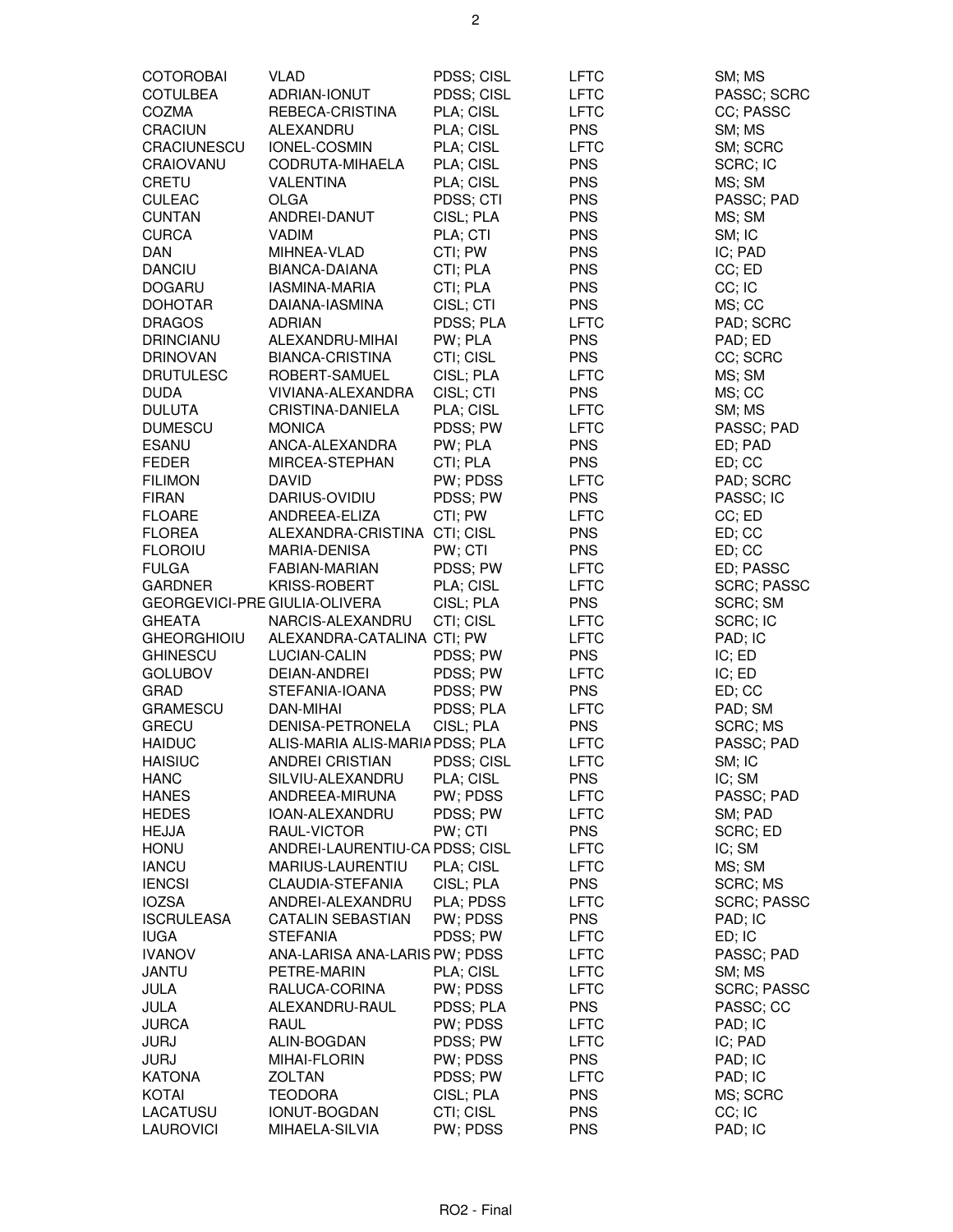| <b>COTOROBAI</b>              | <b>VLAD</b>                     | PDSS; CISL | <b>LFTC</b> | SM; MS             |
|-------------------------------|---------------------------------|------------|-------------|--------------------|
| <b>COTULBEA</b>               | ADRIAN-IONUT                    | PDSS; CISL | <b>LFTC</b> | PASSC; SCRC        |
| <b>COZMA</b>                  | REBECA-CRISTINA                 | PLA; CISL  | <b>LFTC</b> | CC; PASSC          |
| <b>CRACIUN</b>                | ALEXANDRU                       | PLA; CISL  | <b>PNS</b>  | SM; MS             |
| CRACIUNESCU                   | IONEL-COSMIN                    | PLA; CISL  | <b>LFTC</b> | SM; SCRC           |
| CRAIOVANU                     | CODRUTA-MIHAELA                 | PLA; CISL  | <b>PNS</b>  | SCRC; IC           |
|                               |                                 |            |             |                    |
| <b>CRETU</b>                  | <b>VALENTINA</b>                | PLA; CISL  | <b>PNS</b>  | MS; SM             |
| <b>CULEAC</b>                 | OLGA                            | PDSS; CTI  | <b>PNS</b>  | PASSC; PAD         |
| <b>CUNTAN</b>                 | ANDREI-DANUT                    | CISL; PLA  | <b>PNS</b>  | MS; SM             |
| <b>CURCA</b>                  | <b>VADIM</b>                    | PLA; CTI   | <b>PNS</b>  | SM; IC             |
| <b>DAN</b>                    | MIHNEA-VLAD                     | CTI; PW    | <b>PNS</b>  | IC; PAD            |
| <b>DANCIU</b>                 | BIANCA-DAIANA                   | CTI; PLA   | <b>PNS</b>  | CC; ED             |
| <b>DOGARU</b>                 | IASMINA-MARIA                   | CTI; PLA   | <b>PNS</b>  | CC; IC             |
| <b>DOHOTAR</b>                | DAIANA-IASMINA                  | CISL; CTI  | <b>PNS</b>  | MS; CC             |
| <b>DRAGOS</b>                 | <b>ADRIAN</b>                   | PDSS; PLA  | <b>LFTC</b> | PAD; SCRC          |
| <b>DRINCIANU</b>              | ALEXANDRU-MIHAI                 | PW; PLA    | <b>PNS</b>  | PAD; ED            |
| <b>DRINOVAN</b>               | BIANCA-CRISTINA                 | CTI; CISL  | <b>PNS</b>  | CC; SCRC           |
| <b>DRUTULESC</b>              | ROBERT-SAMUEL                   | CISL; PLA  | <b>LFTC</b> | MS; SM             |
| <b>DUDA</b>                   | VIVIANA-ALEXANDRA               | CISL; CTI  | <b>PNS</b>  | MS; CC             |
| <b>DULUTA</b>                 | CRISTINA-DANIELA                | PLA; CISL  | <b>LFTC</b> | SM; MS             |
| <b>DUMESCU</b>                | <b>MONICA</b>                   | PDSS; PW   | <b>LFTC</b> | PASSC; PAD         |
| <b>ESANU</b>                  | ANCA-ALEXANDRA                  | PW; PLA    | <b>PNS</b>  | ED; PAD            |
| <b>FEDER</b>                  | MIRCEA-STEPHAN                  | CTI; PLA   | <b>PNS</b>  | ED; CC             |
| <b>FILIMON</b>                | <b>DAVID</b>                    | PW; PDSS   | LFTC        | PAD; SCRC          |
| <b>FIRAN</b>                  | DARIUS-OVIDIU                   | PDSS; PW   | <b>PNS</b>  | PASSC; IC          |
| <b>FLOARE</b>                 | ANDREEA-ELIZA                   | CTI; PW    | <b>LFTC</b> | CC; ED             |
| <b>FLOREA</b>                 | ALEXANDRA-CRISTINA CTI; CISL    |            | <b>PNS</b>  | ED; CC             |
| <b>FLOROIU</b>                | MARIA-DENISA                    | PW; CTI    | <b>PNS</b>  | ED; CC             |
| <b>FULGA</b>                  | FABIAN-MARIAN                   | PDSS; PW   | <b>LFTC</b> | ED; PASSC          |
| <b>GARDNER</b>                | KRISS-ROBERT                    | PLA; CISL  | <b>LFTC</b> | <b>SCRC; PASSC</b> |
| GEORGEVICI-PRE GIULIA-OLIVERA |                                 | CISL; PLA  | <b>PNS</b>  | SCRC; SM           |
| <b>GHEATA</b>                 | NARCIS-ALEXANDRU                | CTI; CISL  | <b>LFTC</b> | SCRC; IC           |
| <b>GHEORGHIOIU</b>            | ALEXANDRA-CATALINA CTI; PW      |            | <b>LFTC</b> | PAD; IC            |
| <b>GHINESCU</b>               | LUCIAN-CALIN                    | PDSS; PW   | <b>PNS</b>  | IC; ED             |
| <b>GOLUBOV</b>                |                                 | PDSS; PW   | <b>LFTC</b> | IC; ED             |
|                               | DEIAN-ANDREI                    | PDSS; PW   |             |                    |
| GRAD                          | STEFANIA-IOANA                  |            | <b>PNS</b>  | ED; CC             |
| <b>GRAMESCU</b>               | DAN-MIHAI                       | PDSS; PLA  | <b>LFTC</b> | PAD; SM            |
| <b>GRECU</b>                  | DENISA-PETRONELA                | CISL; PLA  | <b>PNS</b>  | SCRC; MS           |
| <b>HAIDUC</b>                 | ALIS-MARIA ALIS-MARIA PDSS; PLA |            | <b>LFTC</b> | PASSC; PAD         |
| <b>HAISIUC</b>                | ANDREI CRISTIAN                 | PDSS; CISL | <b>LFTC</b> | SM; IC             |
| <b>HANC</b>                   | SILVIU-ALEXANDRU                | PLA; CISL  | <b>PNS</b>  | IC; SM             |
| <b>HANES</b>                  | ANDREEA-MIRUNA                  | PW; PDSS   | LFTC        | PASSC; PAD         |
| <b>HEDES</b>                  | IOAN-ALEXANDRU                  | PDSS; PW   | <b>LFTC</b> | SM; PAD            |
| HEJJA                         | RAUL-VICTOR                     | PW; CTI    | <b>PNS</b>  | SCRC; ED           |
| <b>HONU</b>                   | ANDREI-LAURENTIU-CA PDSS; CISL  |            | LFTC        | IC; SM             |
| <b>IANCU</b>                  | <b>MARIUS-LAURENTIU</b>         | PLA; CISL  | <b>LFTC</b> | MS; SM             |
| <b>IENCSI</b>                 | CLAUDIA-STEFANIA                | CISL; PLA  | <b>PNS</b>  | SCRC; MS           |
| <b>IOZSA</b>                  | ANDREI-ALEXANDRU                | PLA; PDSS  | LFTC        | <b>SCRC; PASSC</b> |
| <b>ISCRULEASA</b>             | <b>CATALIN SEBASTIAN</b>        | PW; PDSS   | <b>PNS</b>  | PAD; IC            |
| <b>IUGA</b>                   | <b>STEFANIA</b>                 | PDSS; PW   | LFTC        | ED; IC             |
| <b>IVANOV</b>                 | ANA-LARISA ANA-LARIS PW; PDSS   |            | <b>LFTC</b> | PASSC; PAD         |
| JANTU                         | PETRE-MARIN                     | PLA; CISL  | <b>LFTC</b> | SM; MS             |
| JULA                          | RALUCA-CORINA                   | PW; PDSS   | LFTC        | <b>SCRC; PASSC</b> |
| JULA                          | ALEXANDRU-RAUL                  | PDSS; PLA  | <b>PNS</b>  | PASSC; CC          |
| <b>JURCA</b>                  | RAUL                            | PW; PDSS   | LFTC        | PAD; IC            |
| <b>JURJ</b>                   | ALIN-BOGDAN                     | PDSS; PW   | <b>LFTC</b> | IC; PAD            |
| <b>JURJ</b>                   | <b>MIHAI-FLORIN</b>             | PW; PDSS   | <b>PNS</b>  | PAD; IC            |
| <b>KATONA</b>                 | ZOLTAN                          | PDSS; PW   | LFTC        | PAD; IC            |
| <b>KOTAI</b>                  | <b>TEODORA</b>                  | CISL; PLA  | <b>PNS</b>  | MS; SCRC           |
| LACATUSU                      | IONUT-BOGDAN                    | CTI; CISL  | <b>PNS</b>  | CC; IC             |
| LAUROVICI                     | MIHAELA-SILVIA                  | PW; PDSS   | <b>PNS</b>  | PAD; IC            |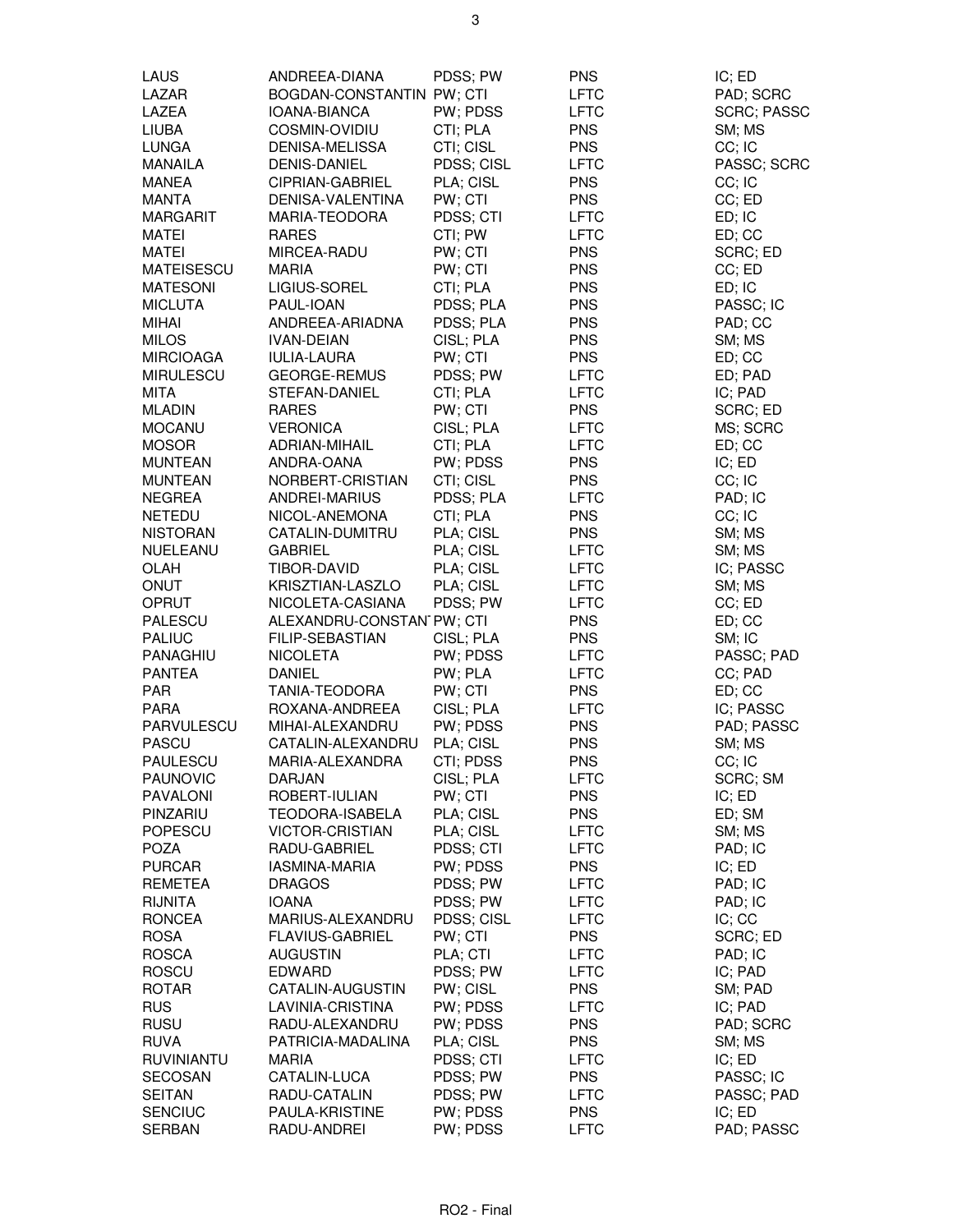| LAUS              | ANDREEA-DIANA                    | PDSS; PW   | <b>PNS</b>  | IC; ED             |
|-------------------|----------------------------------|------------|-------------|--------------------|
| LAZAR             | <b>BOGDAN-CONSTANTIN PW; CTI</b> |            | <b>LFTC</b> | PAD; SCRC          |
| LAZEA             | IOANA-BIANCA                     | PW; PDSS   | <b>LFTC</b> | <b>SCRC; PASSC</b> |
| <b>LIUBA</b>      | COSMIN-OVIDIU                    | CTI; PLA   | <b>PNS</b>  | SM; MS             |
| <b>LUNGA</b>      | DENISA-MELISSA                   | CTI; CISL  | <b>PNS</b>  | CC; IC             |
| MANAILA           | <b>DENIS-DANIEL</b>              | PDSS; CISL | <b>LFTC</b> | PASSC; SCRC        |
| <b>MANEA</b>      | <b>CIPRIAN-GABRIEL</b>           | PLA; CISL  | <b>PNS</b>  | CC; IC             |
| <b>MANTA</b>      | DENISA-VALENTINA                 | PW; CTI    | <b>PNS</b>  | CC; ED             |
| <b>MARGARIT</b>   | MARIA-TEODORA                    | PDSS; CTI  | <b>LFTC</b> | ED; IC             |
| <b>MATEI</b>      | <b>RARES</b>                     | CTI; PW    | <b>LFTC</b> | ED; CC             |
| MATEI             | MIRCEA-RADU                      | PW; CTI    | <b>PNS</b>  | SCRC; ED           |
| <b>MATEISESCU</b> | <b>MARIA</b>                     | PW; CTI    | <b>PNS</b>  | CC; ED             |
| <b>MATESONI</b>   | LIGIUS-SOREL                     | CTI; PLA   | <b>PNS</b>  | ED; IC             |
| <b>MICLUTA</b>    | PAUL-IOAN                        | PDSS; PLA  | <b>PNS</b>  | PASSC; IC          |
| <b>MIHAI</b>      | ANDREEA-ARIADNA                  | PDSS; PLA  | <b>PNS</b>  | PAD; CC            |
|                   |                                  |            |             |                    |
| <b>MILOS</b>      | <b>IVAN-DEIAN</b>                | CISL; PLA  | <b>PNS</b>  | SM; MS             |
| <b>MIRCIOAGA</b>  | <b>IULIA-LAURA</b>               | PW; CTI    | <b>PNS</b>  | ED; CC             |
| <b>MIRULESCU</b>  | GEORGE-REMUS                     | PDSS; PW   | <b>LFTC</b> | ED; PAD            |
| MITA              | STEFAN-DANIEL                    | CTI; PLA   | <b>LFTC</b> | IC; PAD            |
| <b>MLADIN</b>     | <b>RARES</b>                     | PW; CTI    | <b>PNS</b>  | SCRC; ED           |
| <b>MOCANU</b>     | <b>VERONICA</b>                  | CISL: PLA  | <b>LFTC</b> | MS; SCRC           |
| <b>MOSOR</b>      | ADRIAN-MIHAIL                    | CTI; PLA   | <b>LFTC</b> | ED; CC             |
| <b>MUNTEAN</b>    | ANDRA-OANA                       | PW; PDSS   | <b>PNS</b>  | IC; ED             |
| <b>MUNTEAN</b>    | NORBERT-CRISTIAN                 | CTI; CISL  | <b>PNS</b>  | CC; IC             |
| <b>NEGREA</b>     | <b>ANDREI-MARIUS</b>             | PDSS; PLA  | <b>LFTC</b> | PAD; IC            |
| <b>NETEDU</b>     | NICOL-ANEMONA                    | CTI; PLA   | <b>PNS</b>  | CC; IC             |
| <b>NISTORAN</b>   | CATALIN-DUMITRU                  | PLA; CISL  | <b>PNS</b>  | SM; MS             |
| NUELEANU          | <b>GABRIEL</b>                   | PLA; CISL  | <b>LFTC</b> | SM; MS             |
| <b>OLAH</b>       | TIBOR-DAVID                      | PLA; CISL  | <b>LFTC</b> | IC; PASSC          |
| ONUT              | KRISZTIAN-LASZLO                 | PLA; CISL  | <b>LFTC</b> | SM; MS             |
| OPRUT             | NICOLETA-CASIANA                 | PDSS; PW   | <b>LFTC</b> | CC; ED             |
| PALESCU           | ALEXANDRU-CONSTAN PW; CTI        |            | <b>PNS</b>  | ED; CC             |
| <b>PALIUC</b>     | <b>FILIP-SEBASTIAN</b>           | CISL; PLA  | <b>PNS</b>  | SM; IC             |
| PANAGHIU          | <b>NICOLETA</b>                  | PW; PDSS   | <b>LFTC</b> | PASSC; PAD         |
| <b>PANTEA</b>     | <b>DANIEL</b>                    | PW; PLA    | <b>LFTC</b> | CC; PAD            |
| <b>PAR</b>        | <b>TANIA-TEODORA</b>             | PW; CTI    | <b>PNS</b>  | ED; CC             |
| <b>PARA</b>       | ROXANA-ANDREEA                   | CISL; PLA  | <b>LFTC</b> | IC; PASSC          |
| PARVULESCU        | MIHAI-ALEXANDRU                  | PW; PDSS   | <b>PNS</b>  | PAD; PASSC         |
| <b>PASCU</b>      | CATALIN-ALEXANDRU                | PLA; CISL  | <b>PNS</b>  | SM; MS             |
| PAULESCU          | MARIA-ALEXANDRA                  | CTI; PDSS  | <b>PNS</b>  | CC; IC             |
| <b>PAUNOVIC</b>   | <b>DARJAN</b>                    | CISL; PLA  | <b>LFTC</b> | SCRC; SM           |
| PAVALONI          | ROBERT-IULIAN                    | PW; CTI    | <b>PNS</b>  | IC; ED             |
| PINZARIU          | TEODORA-ISABELA                  | PLA; CISL  | <b>PNS</b>  | ED; SM             |
| POPESCU           | <b>VICTOR-CRISTIAN</b>           | PLA; CISL  | <b>LFTC</b> | SM; MS             |
| <b>POZA</b>       | RADU-GABRIEL                     | PDSS; CTI  | <b>LFTC</b> | PAD; IC            |
| <b>PURCAR</b>     | IASMINA-MARIA                    | PW; PDSS   | <b>PNS</b>  | IC; ED             |
| REMETEA           | <b>DRAGOS</b>                    | PDSS; PW   | <b>LFTC</b> | PAD; IC            |
| <b>RIJNITA</b>    | <b>IOANA</b>                     | PDSS; PW   | <b>LFTC</b> | PAD; IC            |
| <b>RONCEA</b>     | MARIUS-ALEXANDRU                 | PDSS; CISL | <b>LFTC</b> | IC; CC             |
| <b>ROSA</b>       | <b>FLAVIUS-GABRIEL</b>           | PW; CTI    | <b>PNS</b>  | SCRC; ED           |
| <b>ROSCA</b>      | <b>AUGUSTIN</b>                  | PLA; CTI   | <b>LFTC</b> | PAD; IC            |
| <b>ROSCU</b>      | <b>EDWARD</b>                    | PDSS; PW   | <b>LFTC</b> | IC; PAD            |
| <b>ROTAR</b>      | CATALIN-AUGUSTIN                 | PW; CISL   | <b>PNS</b>  | SM; PAD            |
| <b>RUS</b>        | LAVINIA-CRISTINA                 | PW; PDSS   | <b>LFTC</b> | IC; PAD            |
| <b>RUSU</b>       | RADU-ALEXANDRU                   | PW; PDSS   | <b>PNS</b>  | PAD; SCRC          |
| <b>RUVA</b>       | PATRICIA-MADALINA                | PLA; CISL  | <b>PNS</b>  | SM; MS             |
| <b>RUVINIANTU</b> | <b>MARIA</b>                     | PDSS; CTI  | <b>LFTC</b> | IC; ED             |
| <b>SECOSAN</b>    | CATALIN-LUCA                     | PDSS; PW   | <b>PNS</b>  | PASSC; IC          |
| <b>SEITAN</b>     | RADU-CATALIN                     | PDSS; PW   | <b>LFTC</b> | PASSC; PAD         |
| <b>SENCIUC</b>    | PAULA-KRISTINE                   | PW; PDSS   | <b>PNS</b>  | IC; ED             |
| <b>SERBAN</b>     | RADU-ANDREI                      | PW; PDSS   | <b>LFTC</b> | PAD; PASSC         |